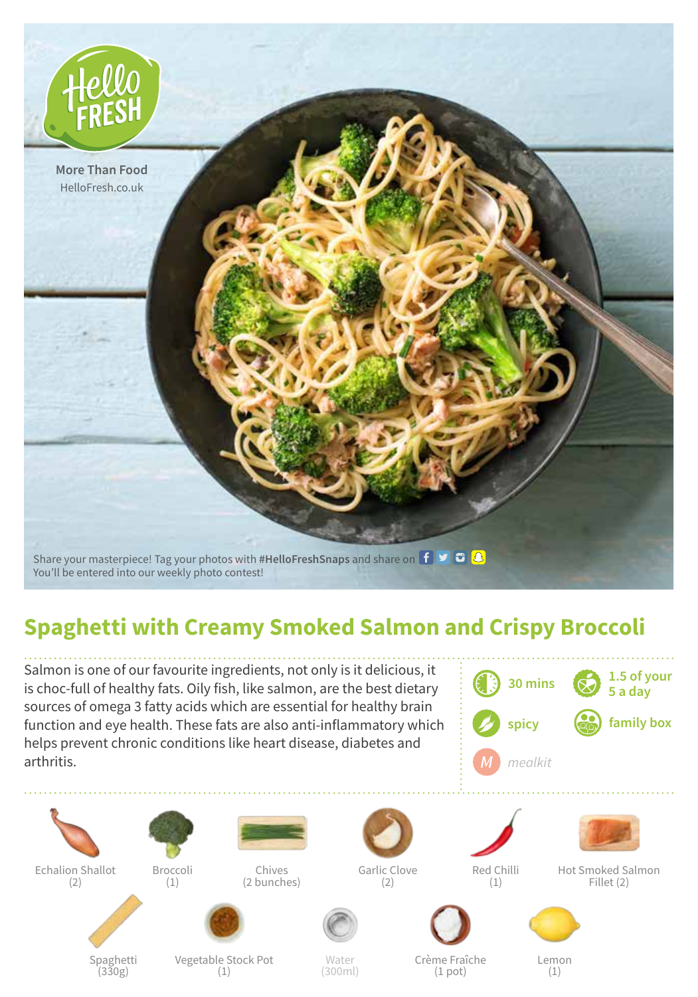

## **Spaghetti with Creamy Smoked Salmon and Crispy Broccoli**

Water (300ml)

Salmon is one of our favourite ingredients, not only is it delicious, it is choc-full of healthy fats. Oily fish, like salmon, are the best dietary sources of omega 3 fatty acids which are essential for healthy brain function and eye health. These fats are also anti-inflammatory which helps prevent chronic conditions like heart disease, diabetes and arthritis.







(1)

(2)

Spaghetti (330g)

Broccoli

Chives (2 bunches)

Garlic Clove

(2)



Red Chilli (1)

Hot Smoked Salmon Fillet (2)



Crème Fraîche (1 pot)

Lemon (1)

Vegetable Stock Pot (1)